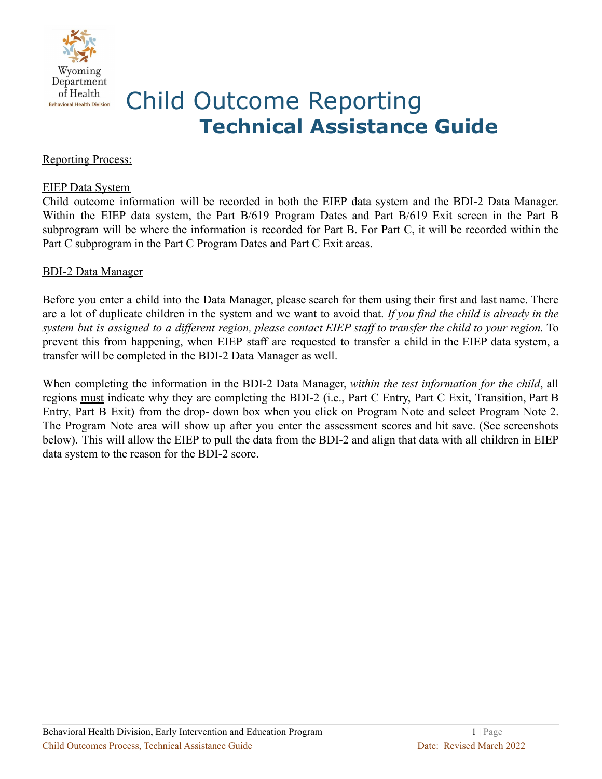

# Child Outcome Reporting **Technical Assistance Guide**

# Reporting Process:

#### EIEP Data System

Child outcome information will be recorded in both the EIEP data system and the BDI-2 Data Manager. Within the EIEP data system, the Part B/619 Program Dates and Part B/619 Exit screen in the Part B subprogram will be where the information is recorded for Part B. For Part C, it will be recorded within the Part C subprogram in the Part C Program Dates and Part C Exit areas.

## BDI-2 Data Manager

Before you enter a child into the Data Manager, please search for them using their first and last name. There are a lot of duplicate children in the system and we want to avoid that. *If you find the child is already in the* system but is assigned to a different region, please contact EIEP staff to transfer the child to your region. To prevent this from happening, when EIEP staff are requested to transfer a child in the EIEP data system, a transfer will be completed in the BDI-2 Data Manager as well.

When completing the information in the BDI-2 Data Manager, *within the test information for the child*, all regions must indicate why they are completing the BDI-2 (i.e., Part C Entry, Part C Exit, Transition, Part B Entry, Part B Exit) from the drop- down box when you click on Program Note and select Program Note 2. The Program Note area will show up after you enter the assessment scores and hit save. (See screenshots below). This will allow the EIEP to pull the data from the BDI-2 and align that data with all children in EIEP data system to the reason for the BDI-2 score.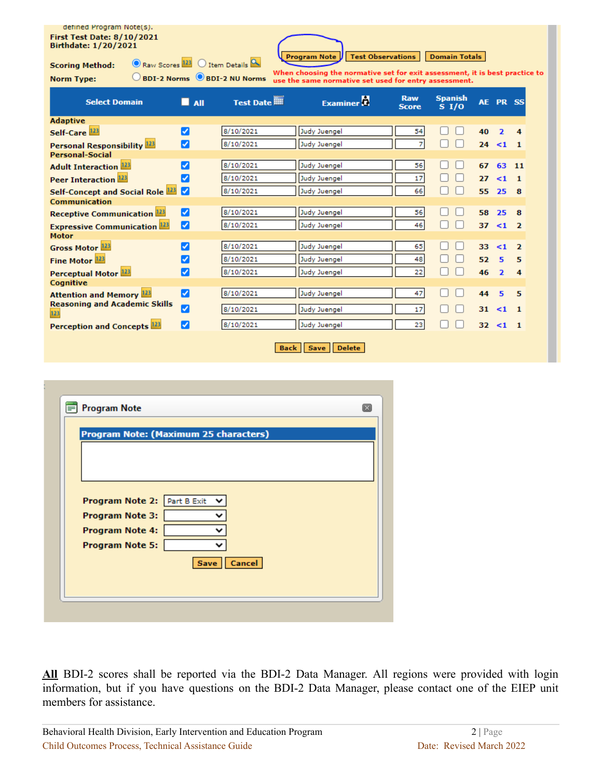#### defined Program Note(s). **First Test Date: 8/10/2021** Birthdate: 1/20/2021

**Program Note Test Observations** 

**Scoring Method: Norm Type:** 

Raw Scores 123 O Item Details A BDI-2 Norms 8DI-2 NU Norms

When choosing the normative set for exit assessment, it is best practice to<br>use the same normative set used for entry assessment.

**Domain Totals** 

| <b>Select Domain</b>                        | All<br>n m | <b>Test Date III</b> | <b>Examiner</b> | <b>Raw</b><br><b>Score</b> | <b>Spanish</b><br>S <sub>1</sub> /O | AE. | PR <sub>SS</sub>        |                |
|---------------------------------------------|------------|----------------------|-----------------|----------------------------|-------------------------------------|-----|-------------------------|----------------|
| <b>Adaptive</b>                             |            |                      |                 |                            |                                     |     |                         |                |
| Self-Care <sup>123</sup>                    | ☑          | 8/10/2021            | Judy Juengel    | 54                         |                                     | 40  | $\overline{\mathbf{z}}$ | 4              |
| Personal Responsibility <sup>123</sup>      | Ø          | 8/10/2021            | Judy Juengel    | 7                          |                                     | 24  | $\leq 1$                | $\blacksquare$ |
| <b>Personal-Social</b>                      |            |                      |                 |                            |                                     |     |                         |                |
| <b>Adult Interaction</b> <sup>123</sup>     |            | 8/10/2021            | Judy Juengel    | 56                         |                                     | 67  | 63.                     | 11             |
| Peer Interaction <sup>123</sup>             | V          | 8/10/2021            | Judy Juengel    | 17                         |                                     | 27  | $\leq 1$                | - 1            |
| Self-Concept and Social Role <sup>123</sup> |            | 8/10/2021            | Judy Juengel    | 66                         |                                     | 55  | 25                      | -8             |
| Communication                               |            |                      |                 |                            |                                     |     |                         |                |
| <b>Receptive Communication 123</b>          | ☑          | 8/10/2021            | Judy Juengel    | 56                         |                                     | 58  | 25                      | -8             |
| <b>Expressive Communication 123</b>         | M          | 8/10/2021            | Judy Juengel    | 46                         |                                     | 37  | $\leq 1$                | $\overline{2}$ |
| <b>Motor</b>                                |            |                      |                 |                            |                                     |     |                         |                |
| Gross Motor <sup>123</sup>                  | ✓          | 8/10/2021            | Judy Juengel    | 65                         |                                     | 33  | $\leq 1$                | $\overline{ }$ |
| Fine Motor <sup>123</sup>                   |            | 8/10/2021            | Judy Juengel    | 48                         |                                     | 52  | 5                       | 5              |
| Perceptual Motor <sup>123</sup>             | ✓          | 8/10/2021            | Judy Juengel    | 22                         |                                     | 46  | $\overline{ }$          | 4              |
| <b>Cognitive</b>                            |            |                      |                 |                            |                                     |     |                         |                |
| <b>Attention and Memory 123</b>             | ☑          | 8/10/2021            | Judy Juengel    | 47                         |                                     | 44  | 5                       | 5              |
| <b>Reasoning and Academic Skills</b><br>123 | ☑          | 8/10/2021            | Judy Juengel    | 17                         |                                     | 31  | $\leq 1$ 1              |                |
| Perception and Concepts <sup>123</sup>      | V          | 8/10/2021            | Judy Juengel    | 23                         |                                     | 32  | <1                      | - 1            |
|                                             |            |                      |                 |                            |                                     |     |                         |                |

Back Save Delete

| Program Note: (Maximum 25 characters) |  |               |  |  |
|---------------------------------------|--|---------------|--|--|
|                                       |  |               |  |  |
|                                       |  |               |  |  |
|                                       |  |               |  |  |
|                                       |  |               |  |  |
| Program Note 2: Part B Exit           |  |               |  |  |
| <b>Program Note 3:</b>                |  |               |  |  |
| Program Note 4:                       |  |               |  |  |
| <b>Program Note 5:</b>                |  |               |  |  |
|                                       |  |               |  |  |
|                                       |  | Save   Cancel |  |  |
|                                       |  |               |  |  |

**All** BDI-2 scores shall be reported via the BDI-2 Data Manager. All regions were provided with login information, but if you have questions on the BDI-2 Data Manager, please contact one of the EIEP unit members for assistance.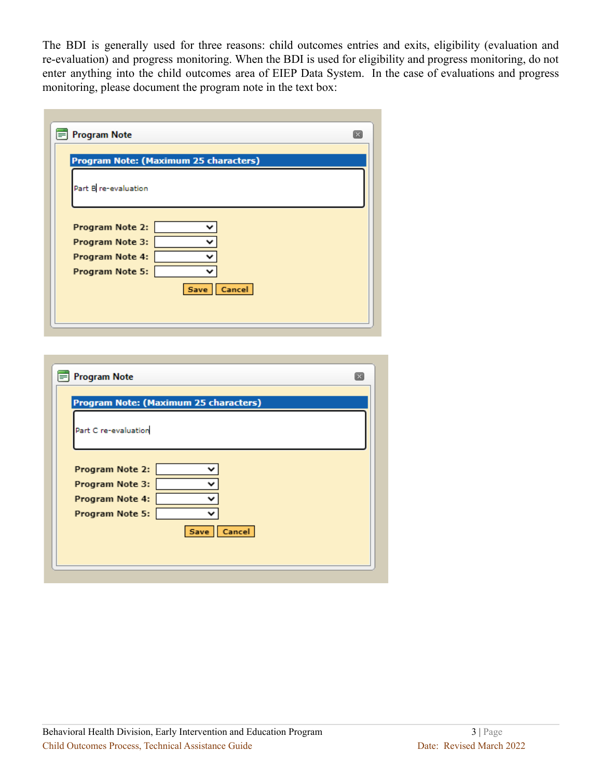The BDI is generally used for three reasons: child outcomes entries and exits, eligibility (evaluation and re-evaluation) and progress monitoring. When the BDI is used for eligibility and progress monitoring, do not enter anything into the child outcomes area of EIEP Data System. In the case of evaluations and progress monitoring, please document the program note in the text box:

| <b>Program Note</b>                   | $\boxed{\times}$ |
|---------------------------------------|------------------|
| Program Note: (Maximum 25 characters) |                  |
| Part B re-evaluation                  |                  |
| Program Note 2:<br>Program Note 3:    |                  |
| Program Note 4:<br>Program Note 5:    |                  |
| Save Cancel                           |                  |
|                                       |                  |

| <b>Program Note</b>                                                                        |  |
|--------------------------------------------------------------------------------------------|--|
| Program Note: (Maximum 25 characters)                                                      |  |
| Part C re-evaluation                                                                       |  |
| Program Note 2:<br>Program Note 3:<br>Program Note 4:<br>Program Note 5:<br>Cancel<br>Save |  |
|                                                                                            |  |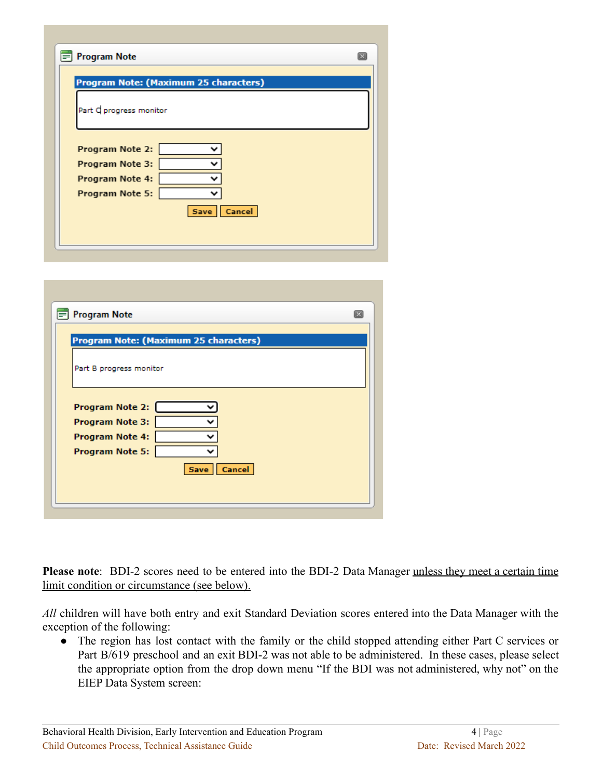| <b>Program Note</b>                | $\overline{\mathbf{x}}$               |
|------------------------------------|---------------------------------------|
|                                    | Program Note: (Maximum 25 characters) |
| Part C progress monitor            |                                       |
| Program Note 2:                    |                                       |
| Program Note 3:                    |                                       |
| Program Note 4:<br>Program Note 5: |                                       |
|                                    | Cancel<br>Save                        |
|                                    |                                       |

| <b>Program Note</b>                              |                                       | $\sqrt{1}$ |
|--------------------------------------------------|---------------------------------------|------------|
|                                                  | Program Note: (Maximum 25 characters) |            |
| Part B progress monitor                          |                                       |            |
|                                                  |                                       |            |
| <b>Program Note 2:</b><br><b>Program Note 3:</b> |                                       |            |
| <b>Program Note 4:</b>                           |                                       |            |
| <b>Program Note 5:</b>                           |                                       |            |
|                                                  | Save   Cancel                         |            |
|                                                  |                                       |            |

**Please note**: BDI-2 scores need to be entered into the BDI-2 Data Manager unless they meet a certain time limit condition or circumstance (see below).

*All* children will have both entry and exit Standard Deviation scores entered into the Data Manager with the exception of the following:

• The region has lost contact with the family or the child stopped attending either Part C services or Part B/619 preschool and an exit BDI-2 was not able to be administered. In these cases, please select the appropriate option from the drop down menu "If the BDI was not administered, why not" on the EIEP Data System screen: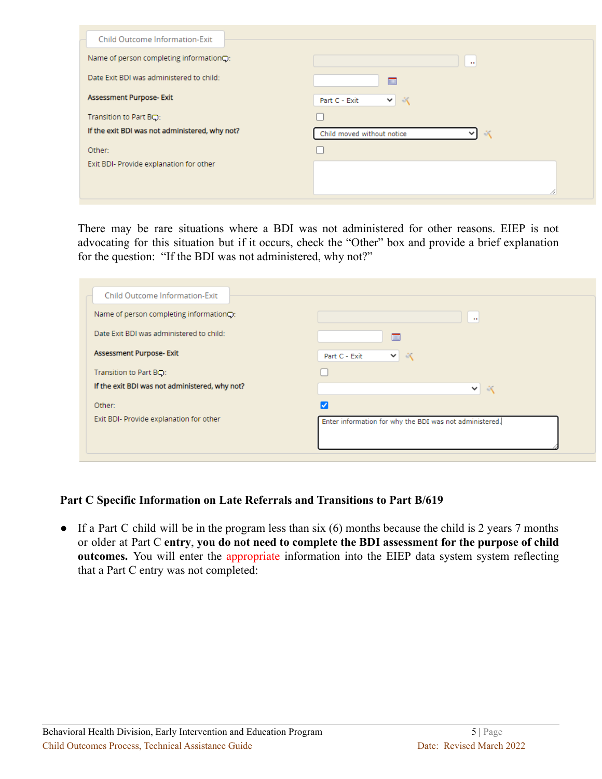| <b>Child Outcome Information-Exit</b>                |                                                               |
|------------------------------------------------------|---------------------------------------------------------------|
| Name of person completing information <sup>c</sup> : | $\cdots$                                                      |
| Date Exit BDI was administered to child:             |                                                               |
| Assessment Purpose- Exit                             | 六<br>Part C - Exit<br>$\vee$                                  |
| Transition to Part BQ:                               |                                                               |
| If the exit BDI was not administered, why not?       | Child moved without notice<br>$\mathcal{K}$<br>$\mathsf{v}$ l |
| Other:                                               |                                                               |
| Exit BDI- Provide explanation for other              |                                                               |
|                                                      |                                                               |
|                                                      |                                                               |

There may be rare situations where a BDI was not administered for other reasons. EIEP is not advocating for this situation but if it occurs, check the "Other" box and provide a brief explanation for the question: "If the BDI was not administered, why not?"

| <b>Child Outcome Information-Exit</b>                |                                                         |
|------------------------------------------------------|---------------------------------------------------------|
| Name of person completing information <sup>c</sup> : | $\cdots$                                                |
| Date Exit BDI was administered to child:             | 丽                                                       |
| Assessment Purpose- Exit                             | $\mathcal{N}$<br>Part C - Exit<br>▿                     |
| Transition to Part BQ:                               |                                                         |
| If the exit BDI was not administered, why not?       | $\vee$ $\wedge$                                         |
| Other:                                               |                                                         |
| Exit BDI- Provide explanation for other              | Enter information for why the BDI was not administered. |

## **Part C Specific Information on Late Referrals and Transitions to Part B/619**

 $\bullet$  If a Part C child will be in the program less than six (6) months because the child is 2 years 7 months or older at Part C **entry**, **you do not need to complete the BDI assessment for the purpose of child outcomes.** You will enter the appropriate information into the EIEP data system system reflecting that a Part C entry was not completed: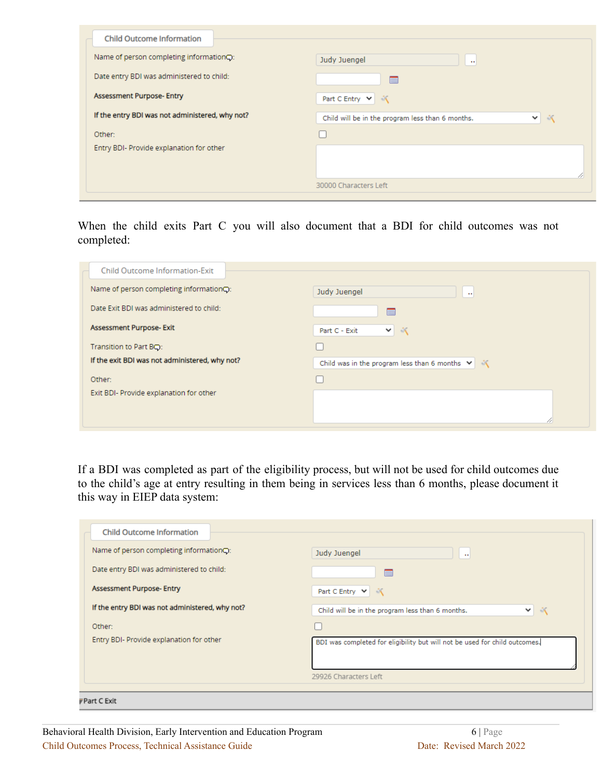| <b>Child Outcome Information</b>                |                                                                                   |
|-------------------------------------------------|-----------------------------------------------------------------------------------|
| Name of person completing information○:         | Judy Juengel<br>$\sim$                                                            |
| Date entry BDI was administered to child:       | m                                                                                 |
| <b>Assessment Purpose- Entry</b>                | Part C Entry $\vert \mathbf{v} \vert \vert$<br>$\mathcal{N}$                      |
| If the entry BDI was not administered, why not? | Child will be in the program less than 6 months.<br>$\mathcal{N}$<br>$\checkmark$ |
| Other:                                          |                                                                                   |
| Entry BDI- Provide explanation for other        |                                                                                   |
|                                                 |                                                                                   |
|                                                 | 11                                                                                |
|                                                 | 30000 Characters Left                                                             |

When the child exits Part C you will also document that a BDI for child outcomes was not completed:

| $\cdots$                                                        |
|-----------------------------------------------------------------|
|                                                                 |
|                                                                 |
|                                                                 |
| Child was in the program less than 6 months $\forall$ $\forall$ |
|                                                                 |
|                                                                 |
|                                                                 |
|                                                                 |

If a BDI was completed as part of the eligibility process, but will not be used for child outcomes due to the child's age at entry resulting in them being in services less than 6 months, please document it this way in EIEP data system:

| <b>Child Outcome Information</b>                |                                                                            |
|-------------------------------------------------|----------------------------------------------------------------------------|
| Name of person completing informationQ:         | Judy Juengel<br>$\mathbf{u}$                                               |
| Date entry BDI was administered to child:       | E                                                                          |
| <b>Assessment Purpose- Entry</b>                | $\mathcal{N}$<br>Part C Entry $\vert \mathbf{v} \vert$                     |
| If the entry BDI was not administered, why not? | Child will be in the program less than 6 months.<br>-50<br>$\checkmark$    |
| Other:                                          |                                                                            |
| Entry BDI- Provide explanation for other        | BDI was completed for eligibility but will not be used for child outcomes. |
|                                                 | 29926 Characters Left                                                      |
| $\overline{v}$ Part C Exit                      |                                                                            |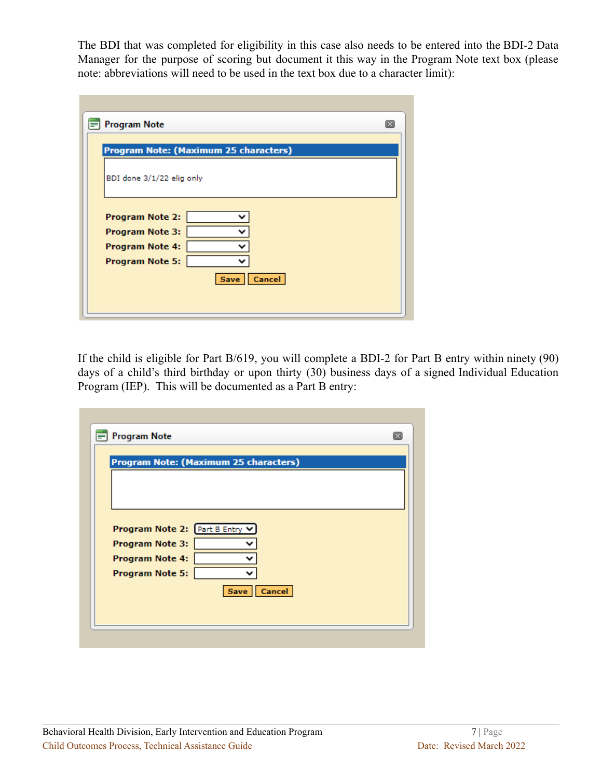The BDI that was completed for eligibility in this case also needs to be entered into the BDI-2 Data Manager for the purpose of scoring but document it this way in the Program Note text box (please note: abbreviations will need to be used in the text box due to a character limit):

| <b>Program Note</b>                                                                                  | Ιx |
|------------------------------------------------------------------------------------------------------|----|
| Program Note: (Maximum 25 characters)                                                                |    |
| BDI done 3/1/22 elig only                                                                            |    |
| <b>Program Note 2:</b><br><b>Program Note 3:</b><br><b>Program Note 4:</b><br><b>Program Note 5:</b> |    |
| Save   Cancel                                                                                        |    |

If the child is eligible for Part B/619, you will complete a BDI-2 for Part B entry within ninety (90) days of a child's third birthday or upon thirty (30) business days of a signed Individual Education Program (IEP). This will be documented as a Part B entry:

|                        | Program Note: (Maximum 25 characters) |               |  |
|------------------------|---------------------------------------|---------------|--|
|                        |                                       |               |  |
|                        |                                       |               |  |
|                        |                                       |               |  |
|                        | Program Note 2: Part B Entry V        |               |  |
| Program Note 3:        |                                       |               |  |
| <b>Program Note 4:</b> |                                       |               |  |
| <b>Program Note 5:</b> |                                       |               |  |
|                        |                                       | Save   Cancel |  |
|                        |                                       |               |  |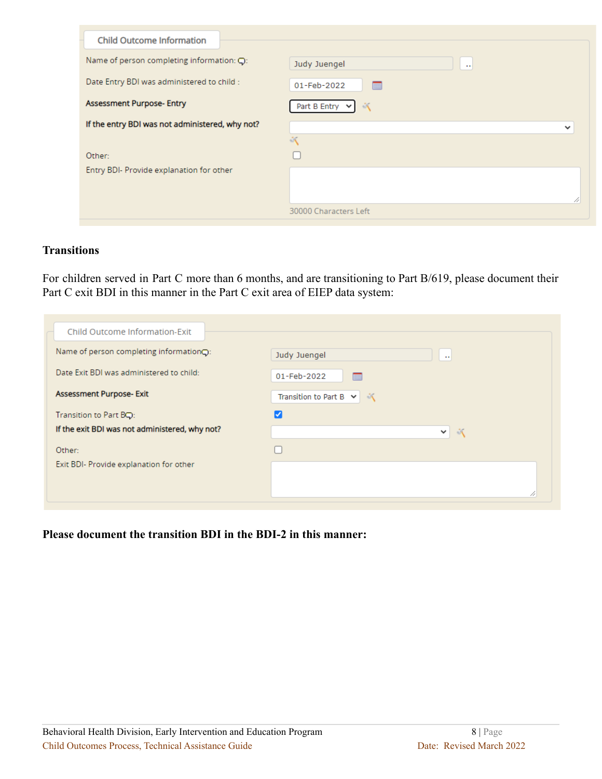| <b>Child Outcome Information</b>                     |                                      |
|------------------------------------------------------|--------------------------------------|
| Name of person completing information: $\mathbf Q$ : | Judy Juengel<br>$\cdots$             |
| Date Entry BDI was administered to child :           | 01-Feb-2022<br>FIL                   |
| <b>Assessment Purpose- Entry</b>                     | $\sqrt[3]{x}$<br>Part B Entry $\vee$ |
| If the entry BDI was not administered, why not?      | $\checkmark$                         |
|                                                      | $\sqrt[3]{2}$                        |
| Other:                                               |                                      |
| Entry BDI- Provide explanation for other             |                                      |
|                                                      |                                      |
|                                                      |                                      |
|                                                      | 30000 Characters Left                |

#### **Transitions**

For children served in Part C more than 6 months, and are transitioning to Part B/619, please document their Part C exit BDI in this manner in the Part C exit area of EIEP data system:

| Child Outcome Information-Exit                 |                                           |
|------------------------------------------------|-------------------------------------------|
| Name of person completing information○:        | Judy Juengel<br>$\cdots$                  |
| Date Exit BDI was administered to child:       | 01-Feb-2022<br>mm                         |
| Assessment Purpose- Exit                       | Transition to Part B $\vee$<br>$\sqrt{2}$ |
| Transition to Part BQ:                         |                                           |
| If the exit BDI was not administered, why not? | -50<br>$\checkmark$                       |
| Other:                                         |                                           |
| Exit BDI- Provide explanation for other        |                                           |
|                                                | n                                         |

**Please document the transition BDI in the BDI-2 in this manner:**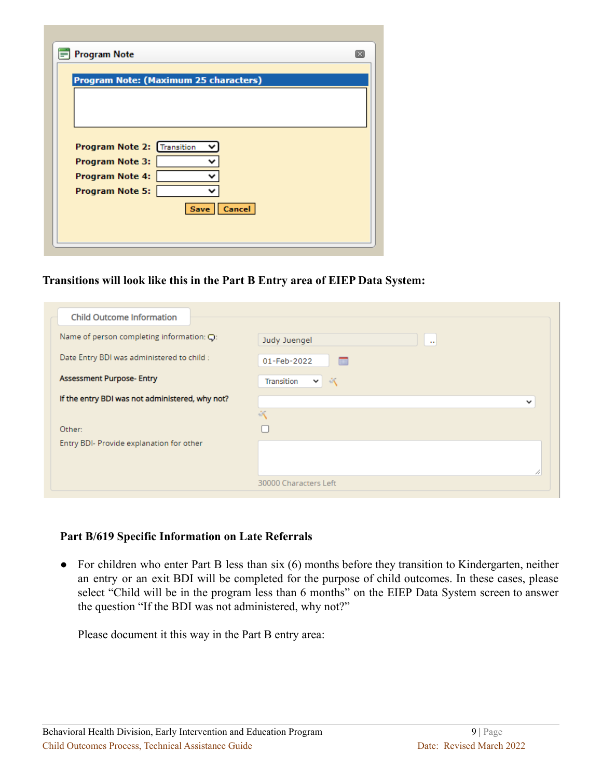| Program Note: (Maximum 25 characters) |               |  |
|---------------------------------------|---------------|--|
|                                       |               |  |
|                                       |               |  |
|                                       |               |  |
|                                       |               |  |
| Program Note 2: Transition            |               |  |
|                                       |               |  |
| <b>Program Note 3:</b>                |               |  |
| <b>Program Note 4:</b>                |               |  |
| <b>Program Note 5:</b>                |               |  |
|                                       | Save   Cancel |  |
|                                       |               |  |

#### **Transitions will look like this in the Part B Entry area of EIEP Data System:**

| <b>Child Outcome Information</b>                |                                             |
|-------------------------------------------------|---------------------------------------------|
| Name of person completing information: Q:       | Judy Juengel<br>$\sim$                      |
| Date Entry BDI was administered to child :      | 01-Feb-2022<br>FIL                          |
| <b>Assessment Purpose- Entry</b>                | Transition<br>$\mathcal{N}$<br>$\checkmark$ |
| If the entry BDI was not administered, why not? | $\checkmark$                                |
|                                                 | $\sqrt[3]{2}$                               |
| Other:                                          |                                             |
| Entry BDI- Provide explanation for other        |                                             |
|                                                 |                                             |
|                                                 | 11                                          |
|                                                 | 30000 Characters Left                       |

#### **Part B/619 Specific Information on Late Referrals**

• For children who enter Part B less than six (6) months before they transition to Kindergarten, neither an entry or an exit BDI will be completed for the purpose of child outcomes. In these cases, please select "Child will be in the program less than 6 months" on the EIEP Data System screen to answer the question "If the BDI was not administered, why not?"

Please document it this way in the Part B entry area: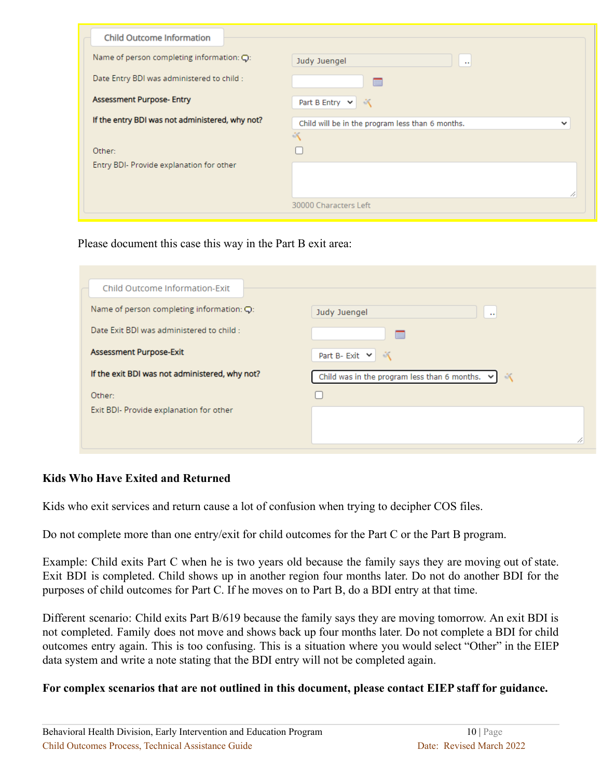| <b>Child Outcome Information</b>                      |                                                             |
|-------------------------------------------------------|-------------------------------------------------------------|
| Name of person completing information: $\mathbb{Q}$ : | Judy Juengel<br>$\sim$                                      |
| Date Entry BDI was administered to child :            | m                                                           |
| <b>Assessment Purpose- Entry</b>                      | Part B Entry $\vert \mathbf{v} \vert$<br>$\sqrt{2}$         |
| If the entry BDI was not administered, why not?       | Child will be in the program less than 6 months.<br>v<br>50 |
| Other:                                                |                                                             |
| Entry BDI- Provide explanation for other              |                                                             |
|                                                       | 11                                                          |
|                                                       | 30000 Characters Left                                       |

Please document this case this way in the Part B exit area:

| Child Outcome Information-Exit                 |                                                                   |
|------------------------------------------------|-------------------------------------------------------------------|
| Name of person completing information: $Q$ :   | Judy Juengel<br>$\mathbf{r}$ .                                    |
| Date Exit BDI was administered to child :      | FIL                                                               |
| Assessment Purpose-Exit                        | Part B-Exit $\vee$<br>$\sqrt{2}$                                  |
| If the exit BDI was not administered, why not? | Child was in the program less than 6 months. $\vee$<br>$\sqrt{2}$ |
| Other:                                         |                                                                   |
| Exit BDI- Provide explanation for other        |                                                                   |
|                                                |                                                                   |
|                                                |                                                                   |

# **Kids Who Have Exited and Returned**

Kids who exit services and return cause a lot of confusion when trying to decipher COS files.

Do not complete more than one entry/exit for child outcomes for the Part C or the Part B program.

Example: Child exits Part C when he is two years old because the family says they are moving out of state. Exit BDI is completed. Child shows up in another region four months later. Do not do another BDI for the purposes of child outcomes for Part C. If he moves on to Part B, do a BDI entry at that time.

Different scenario: Child exits Part B/619 because the family says they are moving tomorrow. An exit BDI is not completed. Family does not move and shows back up four months later. Do not complete a BDI for child outcomes entry again. This is too confusing. This is a situation where you would select "Other" in the EIEP data system and write a note stating that the BDI entry will not be completed again.

# **For complex scenarios that are not outlined in this document, please contact EIEP staff for guidance.**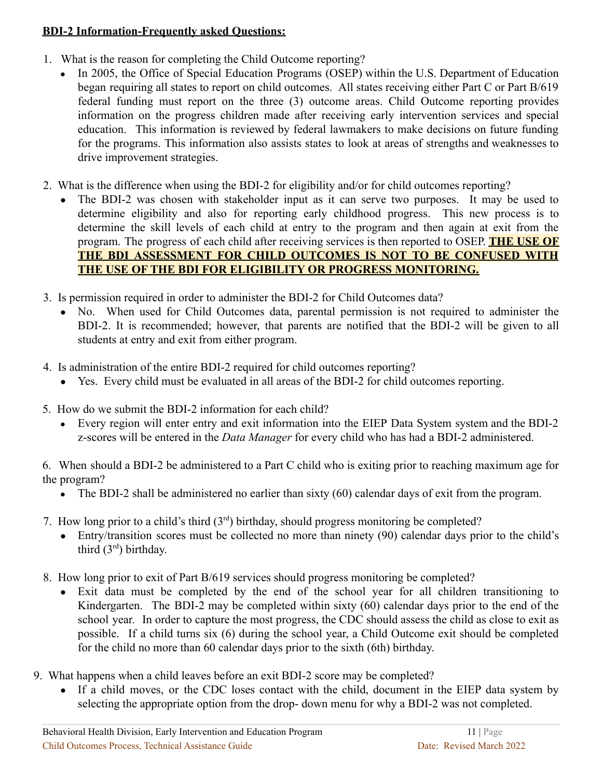# **BDI-2 Information-Frequently asked Questions:**

- 1. What is the reason for completing the Child Outcome reporting?
	- In 2005, the Office of Special Education Programs (OSEP) within the U.S. Department of Education began requiring all states to report on child outcomes. All states receiving either Part C or Part B/619 federal funding must report on the three (3) outcome areas. Child Outcome reporting provides information on the progress children made after receiving early intervention services and special education. This information is reviewed by federal lawmakers to make decisions on future funding for the programs. This information also assists states to look at areas of strengths and weaknesses to drive improvement strategies.
- 2. What is the difference when using the BDI-2 for eligibility and/or for child outcomes reporting?
	- The BDI-2 was chosen with stakeholder input as it can serve two purposes. It may be used to determine eligibility and also for reporting early childhood progress. This new process is to determine the skill levels of each child at entry to the program and then again at exit from the program. The progress of each child after receiving services is then reported to OSEP. **THE USE OF THE BDI ASSESSMENT FOR CHILD OUTCOMES IS NOT TO BE CONFUSED WITH THE USE OF THE BDI FOR ELIGIBILITY OR PROGRESS MONITORING.**
- 3. Is permission required in order to administer the BDI-2 for Child Outcomes data?
	- No. When used for Child Outcomes data, parental permission is not required to administer the BDI-2. It is recommended; however, that parents are notified that the BDI-2 will be given to all students at entry and exit from either program.
- 4. Is administration of the entire BDI-2 required for child outcomes reporting?
	- Yes. Every child must be evaluated in all areas of the BDI-2 for child outcomes reporting.
- 5. How do we submit the BDI-2 information for each child?
	- Every region will enter entry and exit information into the EIEP Data System system and the BDI-2 z-scores will be entered in the *Data Manager* for every child who has had a BDI-2 administered.

6. When should a BDI-2 be administered to a Part C child who is exiting prior to reaching maximum age for the program?

- The BDI-2 shall be administered no earlier than sixty (60) calendar days of exit from the program.
- 7. How long prior to a child's third  $(3<sup>rd</sup>)$  birthday, should progress monitoring be completed?
	- Entry/transition scores must be collected no more than ninety (90) calendar days prior to the child's third  $(3<sup>rd</sup>)$  birthday.
- 8. How long prior to exit of Part B/619 services should progress monitoring be completed?
	- Exit data must be completed by the end of the school year for all children transitioning to Kindergarten. The BDI-2 may be completed within sixty (60) calendar days prior to the end of the school year. In order to capture the most progress, the CDC should assess the child as close to exit as possible. If a child turns six (6) during the school year, a Child Outcome exit should be completed for the child no more than 60 calendar days prior to the sixth (6th) birthday.
- 9. What happens when a child leaves before an exit BDI-2 score may be completed?
	- If a child moves, or the CDC loses contact with the child, document in the EIEP data system by selecting the appropriate option from the drop- down menu for why a BDI-2 was not completed.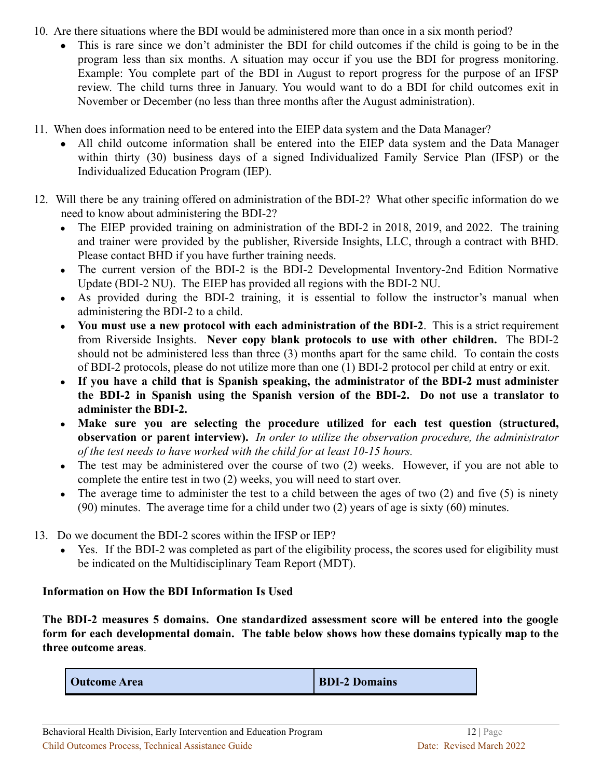- 10. Are there situations where the BDI would be administered more than once in a six month period?
	- This is rare since we don't administer the BDI for child outcomes if the child is going to be in the program less than six months. A situation may occur if you use the BDI for progress monitoring. Example: You complete part of the BDI in August to report progress for the purpose of an IFSP review. The child turns three in January. You would want to do a BDI for child outcomes exit in November or December (no less than three months after the August administration).
- 11. When does information need to be entered into the EIEP data system and the Data Manager?
	- All child outcome information shall be entered into the EIEP data system and the Data Manager within thirty (30) business days of a signed Individualized Family Service Plan (IFSP) or the Individualized Education Program (IEP).
- 12. Will there be any training offered on administration of the BDI-2? What other specific information do we need to know about administering the BDI-2?
	- The EIEP provided training on administration of the BDI-2 in 2018, 2019, and 2022. The training and trainer were provided by the publisher, Riverside Insights, LLC, through a contract with BHD. Please contact BHD if you have further training needs.
	- The current version of the BDI-2 is the BDI-2 Developmental Inventory-2nd Edition Normative Update (BDI-2 NU). The EIEP has provided all regions with the BDI-2 NU.
	- As provided during the BDI-2 training, it is essential to follow the instructor's manual when administering the BDI-2 to a child.
	- **You must use a new protocol with each administration of the BDI-2**. This is a strict requirement from Riverside Insights. **Never copy blank protocols to use with other children.** The BDI-2 should not be administered less than three (3) months apart for the same child. To contain the costs of BDI-2 protocols, please do not utilize more than one (1) BDI-2 protocol per child at entry or exit.
	- **If you have a child that is Spanish speaking, the administrator of the BDI-2 must administer the BDI-2 in Spanish using the Spanish version of the BDI-2. Do not use a translator to administer the BDI-2.**
	- **Make sure you are selecting the procedure utilized for each test question (structured, observation or parent interview).** *In order to utilize the observation procedure, the administrator of the test needs to have worked with the child for at least 10-15 hours.*
	- The test may be administered over the course of two (2) weeks. However, if you are not able to complete the entire test in two (2) weeks, you will need to start over.
	- The average time to administer the test to a child between the ages of two  $(2)$  and five  $(5)$  is ninety (90) minutes. The average time for a child under two (2) years of age is sixty (60) minutes.
- 13. Do we document the BDI-2 scores within the IFSP or IEP?
	- Yes. If the BDI-2 was completed as part of the eligibility process, the scores used for eligibility must be indicated on the Multidisciplinary Team Report (MDT).

# **Information on How the BDI Information Is Used**

**The BDI-2 measures 5 domains. One standardized assessment score will be entered into the google form for each developmental domain. The table below shows how these domains typically map to the three outcome areas**.

| <b>Outcome Area</b> | <b>BDI-2 Domains</b> |
|---------------------|----------------------|
|---------------------|----------------------|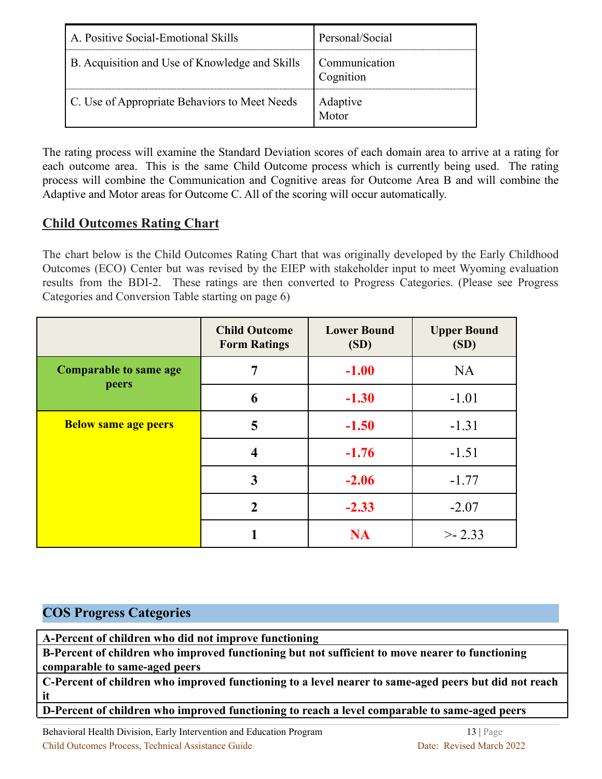| A. Positive Social-Emotional Skills            | Personal/Social            |
|------------------------------------------------|----------------------------|
| B. Acquisition and Use of Knowledge and Skills | Communication<br>Cognition |
| C. Use of Appropriate Behaviors to Meet Needs  | Adaptive<br>Motor          |

The rating process will examine the Standard Deviation scores of each domain area to arrive at a rating for each outcome area. This is the same Child Outcome process which is currently being used. The rating process will combine the Communication and Cognitive areas for Outcome Area B and will combine the Adaptive and Motor areas for Outcome C. All of the scoring will occur automatically.

# **Child Outcomes Rating Chart**

The chart below is the Child Outcomes Rating Chart that was originally developed by the Early Childhood Outcomes (ECO) Center but was revised by the EIEP with stakeholder input to meet Wyoming evaluation results from the BDI-2. These ratings are then converted to Progress Categories. (Please see Progress Categories and Conversion Table starting on page 6)

|                               | <b>Child Outcome</b><br><b>Form Ratings</b> | <b>Lower Bound</b><br>(SD) | <b>Upper Bound</b><br>(SD) |
|-------------------------------|---------------------------------------------|----------------------------|----------------------------|
| <b>Comparable to same age</b> | 7                                           | $-1.00$                    | <b>NA</b>                  |
| peers                         | 6                                           | $-1.30$                    | $-1.01$                    |
| <b>Below same age peers</b>   | 5                                           | $-1.50$                    | $-1.31$                    |
|                               | 4                                           | $-1.76$                    | $-1.51$                    |
|                               | 3                                           | $-2.06$                    | $-1.77$                    |
|                               | $\mathcal{D}_{\mathcal{L}}$                 | $-2.33$                    | $-2.07$                    |
|                               |                                             | <b>NA</b>                  | > 2.33                     |

# **COS Progress Categories**

**A-Percent of children who did not improve functioning**

**B-Percent of children who improved functioning but not sufficient to move nearer to functioning comparable to same-aged peers**

**C-Percent of children who improved functioning to a level nearer to same-aged peers but did not reach it**

**D-Percent of children who improved functioning to reach a level comparable to same-aged peers**

Behavioral Health Division, Early Intervention and Education Program 13 | Page Child Outcomes Process, Technical Assistance Guide Date: Revised March 2022